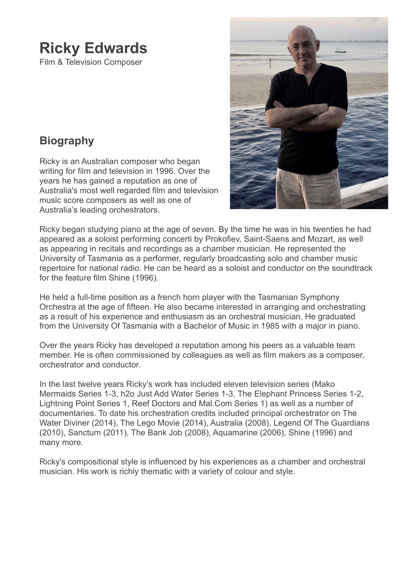# **Ricky Edwards**

Film & Television Composer

# **Biography**

Ricky is an Australian composer who began writing for film and television in 1996. Over the years he has gained a reputation as one of Australia's most well regarded film and television music score composers as well as one of Australia's leading orchestrators.



Ricky began studying piano at the age of seven. By the time he was in his twenties he had appeared as a soloist performing concerti by Prokofiev, Saint-Saens and Mozart, as well as appearing in recitals and recordings as a chamber musician. He represented the University of Tasmania as a performer, regularly broadcasting solo and chamber music repertoire for national radio. He can be heard as a soloist and conductor on the soundtrack for the feature film Shine (1996).

He held a full-time position as a french horn player with the Tasmanian Symphony Orchestra at the age of fifteen. He also became interested in arranging and orchestrating as a result of his experience and enthusiasm as an orchestral musician. He graduated from the University Of Tasmania with a Bachelor of Music in 1985 with a major in piano.

Over the years Ricky has developed a reputation among his peers as a valuable team member. He is often commissioned by colleagues as well as film makers as a composer, orchestrator and conductor.

In the last twelve years Ricky's work has included eleven television series (Mako Mermaids Series 1-3, h2o Just Add Water Series 1-3, The Elephant Princess Series 1-2, Lightning Point Series 1, Reef Doctors and Mal.Com Series 1) as well as a number of documentaries. To date his orchestration credits included principal orchestrator on The Water Diviner (2014), The Lego Movie (2014), Australia (2008), Legend Of The Guardians (2010), Sanctum (2011), The Bank Job (2008), Aquamarine (2006), Shine (1996) and many more.

Ricky's compositional style is influenced by his experiences as a chamber and orchestral musician. His work is richly thematic with a variety of colour and style.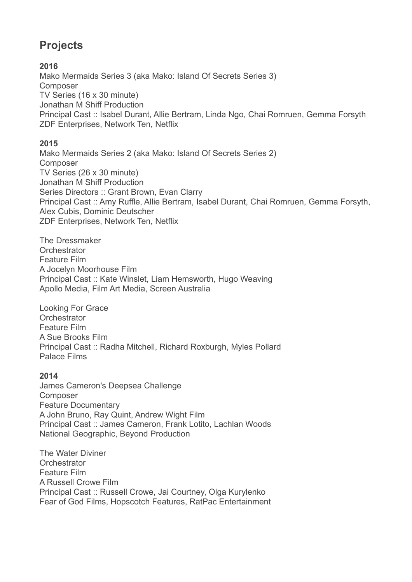# **Projects**

## **2016**

[Mako Mermaids Series 3 \(aka Mako: Island Of Secrets Series 3\)](http://www.rickyedwards.com/makomermaids) [Composer](http://www.rickyedwards.com/makomermaids) [TV Series \(16 x 30 minute\)](http://www.rickyedwards.com/makomermaids) [Jonathan M Shiff Production](http://www.rickyedwards.com/makomermaids) Principal Cast :: Isabel Durant, Allie Bertram, Linda Ngo, Chai Romruen, Gemma Forsyth [ZDF Enterprises, Network Ten, Netflix](http://www.rickyedwards.com/makomermaids)

### **2015**

[Mako Mermaids Series 2 \(aka Mako: Island Of Secrets Series 2\)](http://www.rickyedwards.com/makomermaids) [Composer](http://www.rickyedwards.com/makomermaids) [TV Series \(26 x 30 minute\)](http://www.rickyedwards.com/makomermaids) [Jonathan M Shiff Production](http://www.rickyedwards.com/makomermaids) [Series Directors :: Grant Brown, Evan Clarry](http://www.rickyedwards.com/makomermaids) [Principal Cast :: Amy Ruffle, Allie Bertram, Isabel Durant, Chai Romruen, Gemma Forsyth,](http://www.rickyedwards.com/makomermaids)  [Alex Cubis, Dominic Deutscher](http://www.rickyedwards.com/makomermaids) [ZDF Enterprises, Network Ten, Netflix](http://www.rickyedwards.com/makomermaids)

The Dressmaker **Orchestrator** Feature Film A Jocelyn Moorhouse Film Principal Cast :: Kate Winslet, Liam Hemsworth, Hugo Weaving Apollo Media, Film Art Media, Screen Australia

Looking For Grace **Orchestrator** Feature Film A Sue Brooks Film Principal Cast :: Radha Mitchell, Richard Roxburgh, Myles Pollard Palace Films

### **2014**

[James Cameron's Deepsea Challenge](http://www.rickyedwards.com/deepsea-challenge-3d) [Composer](http://www.rickyedwards.com/deepsea-challenge-3d) [Feature Documentary](http://www.rickyedwards.com/deepsea-challenge-3d) [A John Bruno, Ray Quint, Andrew Wight Film](http://www.rickyedwards.com/deepsea-challenge-3d) [Principal Cast :: James Cameron, Frank Lotito, Lachlan Woods](http://www.rickyedwards.com/deepsea-challenge-3d) [National Geographic, Beyond Production](http://www.rickyedwards.com/deepsea-challenge-3d)

The Water Diviner **Orchestrator** Feature Film A Russell Crowe Film Principal Cast :: Russell Crowe, Jai Courtney, Olga Kurylenko Fear of God Films, Hopscotch Features, RatPac Entertainment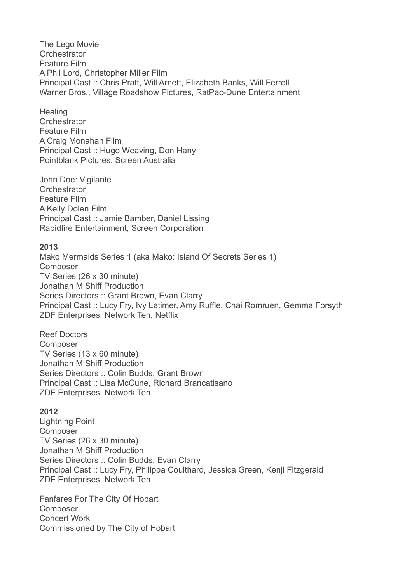The Lego Movie **Orchestrator** Feature Film A Phil Lord, Christopher Miller Film Principal Cast :: Chris Pratt, Will Arnett, Elizabeth Banks, Will Ferrell Warner Bros., Village Roadshow Pictures, RatPac-Dune Entertainment

**Healing Orchestrator** Feature Film A Craig Monahan Film Principal Cast :: Hugo Weaving, Don Hany Pointblank Pictures, Screen Australia

John Doe: Vigilante **Orchestrator** Feature Film A Kelly Dolen Film Principal Cast :: Jamie Bamber, Daniel Lissing Rapidfire Entertainment, Screen Corporation

#### **2013**

[Mako Mermaids Series 1 \(aka Mako: Island Of Secrets Series 1\)](http://www.rickyedwards.com/makomermaids) [Composer](http://www.rickyedwards.com/makomermaids) [TV Series \(26 x 30 minute\)](http://www.rickyedwards.com/makomermaids) [Jonathan M Shiff Production](http://www.rickyedwards.com/makomermaids) [Series Directors :: Grant Brown, Evan Clarry](http://www.rickyedwards.com/makomermaids) Principal Cast :: Lucy Fry, Ivy Latimer, Amy Ruffle, Chai Romruen, Gemma Forsyth [ZDF Enterprises, Network Ten, Netflix](http://www.rickyedwards.com/makomermaids)

[Reef Doctors](http://www.rickyedwards.com/reef-doctors) [Composer](http://www.rickyedwards.com/reef-doctors) [TV Series \(13 x 60 minute\)](http://www.rickyedwards.com/reef-doctors) [Jonathan M Shiff Production](http://www.rickyedwards.com/reef-doctors) [Series Directors :: Colin Budds, Grant Brown](http://www.rickyedwards.com/reef-doctors) [Principal Cast :: Lisa McCune, Richard Brancatisano](http://www.rickyedwards.com/reef-doctors) [ZDF Enterprises, Network Ten](http://www.rickyedwards.com/reef-doctors)

#### **2012**

[Lightning Point](http://www.rickyedwards.com/lightning-point) [Composer](http://www.rickyedwards.com/lightning-point) [TV Series \(26 x 30 minute\)](http://www.rickyedwards.com/lightning-point) [Jonathan M Shiff Production](http://www.rickyedwards.com/lightning-point) [Series Directors :: Colin Budds, Evan Clarry](http://www.rickyedwards.com/lightning-point) [Principal Cast :: Lucy Fry, Philippa Coulthard, Jessica Green, Kenji Fitzgerald](http://www.rickyedwards.com/lightning-point)  [ZDF Enterprises, Network Ten](http://www.rickyedwards.com/lightning-point)

Fanfares For The City Of Hobart Composer Concert Work Commissioned by The City of Hobart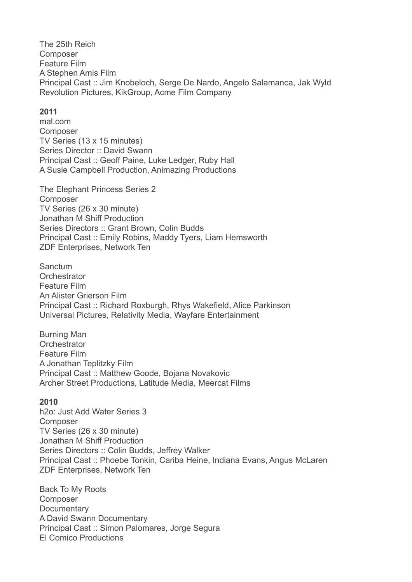[The 25th Reich](http://www.rickyedwards.com/the-25th-reich) [Composer](http://www.rickyedwards.com/the-25th-reich) [Feature Film](http://www.rickyedwards.com/the-25th-reich) [A Stephen Amis Film](http://www.rickyedwards.com/the-25th-reich) Principal Cast :: Jim Knobeloch, Serge De Nardo, Angelo Salamanca, Jak Wyld [Revolution Pictures, KikGroup, Acme Film Company](http://www.rickyedwards.com/the-25th-reich)

#### **2011**

[mal.com](http://www.rickyedwards.com/malcom) [Composer](http://www.rickyedwards.com/malcom) [TV Series \(13 x 15 minutes\)](http://www.rickyedwards.com/malcom) [Series Director :: David Swann](http://www.rickyedwards.com/malcom) [Principal Cast :: Geoff Paine, Luke Ledger, Ruby Hall](http://www.rickyedwards.com/malcom)  [A Susie Campbell Production, Animazing Productions](http://www.rickyedwards.com/malcom)

[The Elephant Princess Series 2](http://www.rickyedwards.com/the-elephant-princess) [Composer](http://www.rickyedwards.com/the-elephant-princess) [TV Series \(26 x 30 minute\)](http://www.rickyedwards.com/the-elephant-princess) [Jonathan M Shiff Production](http://www.rickyedwards.com/the-elephant-princess) [Series Directors :: Grant Brown, Colin Budds](http://www.rickyedwards.com/the-elephant-princess) [Principal Cast :: Emily Robins, Maddy Tyers, Liam Hemsworth](http://www.rickyedwards.com/the-elephant-princess) [ZDF Enterprises, Network Ten](http://www.rickyedwards.com/the-elephant-princess)

Sanctum **Orchestrator** Feature Film An Alister Grierson Film Principal Cast :: Richard Roxburgh, Rhys Wakefield, Alice Parkinson Universal Pictures, Relativity Media, Wayfare Entertainment

Burning Man **Orchestrator** Feature Film A Jonathan Teplitzky Film Principal Cast :: Matthew Goode, Bojana Novakovic Archer Street Productions, Latitude Media, Meercat Films

#### **2010**

[h2o: Just Add Water Series 3](http://www.rickyedwards.com/h2o-just-add-water)  [Composer](http://www.rickyedwards.com/h2o-just-add-water) [TV Series \(26 x 30 minute\)](http://www.rickyedwards.com/h2o-just-add-water) [Jonathan M Shiff Production](http://www.rickyedwards.com/h2o-just-add-water) [Series Directors :: Colin Budds, Jeffrey Walker](http://www.rickyedwards.com/h2o-just-add-water) [Principal Cast :: Phoebe Tonkin, Cariba Heine, Indiana Evans, Angus McLaren](http://www.rickyedwards.com/h2o-just-add-water) [ZDF Enterprises, Network Ten](http://www.rickyedwards.com/h2o-just-add-water)

Back To My Roots Composer **Documentary** A David Swann Documentary Principal Cast :: Simon Palomares, Jorge Segura El Comico Productions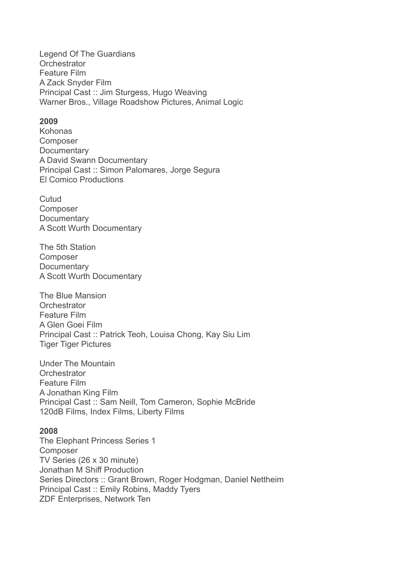Legend Of The Guardians **Orchestrator** Feature Film A Zack Snyder Film Principal Cast :: Jim Sturgess, Hugo Weaving Warner Bros., Village Roadshow Pictures, Animal Logic

#### **2009**

Kohonas Composer **Documentary** A David Swann Documentary Principal Cast :: Simon Palomares, Jorge Segura El Comico Productions

Cutud Composer **Documentary** A Scott Wurth Documentary

The 5th Station Composer **Documentary** A Scott Wurth Documentary

The Blue Mansion **Orchestrator** Feature Film A Glen Goei Film Principal Cast :: Patrick Teoh, Louisa Chong, Kay Siu Lim Tiger Tiger Pictures

Under The Mountain **Orchestrator** Feature Film A Jonathan King Film Principal Cast :: Sam Neill, Tom Cameron, Sophie McBride 120dB Films, Index Films, Liberty Films

#### **2008**

[The Elephant Princess Series 1](http://www.rickyedwards.com/the-elephant-princess) [Composer](http://www.rickyedwards.com/the-elephant-princess) [TV Series \(26 x 30 minute\)](http://www.rickyedwards.com/the-elephant-princess) [Jonathan M Shiff Production](http://www.rickyedwards.com/the-elephant-princess) [Series Directors :: Grant Brown, Roger Hodgman, Daniel Nettheim](http://www.rickyedwards.com/the-elephant-princess)  [Principal Cast :: Emily Robins, Maddy Tyers](http://www.rickyedwards.com/the-elephant-princess) [ZDF Enterprises, Network Ten](http://www.rickyedwards.com/the-elephant-princess)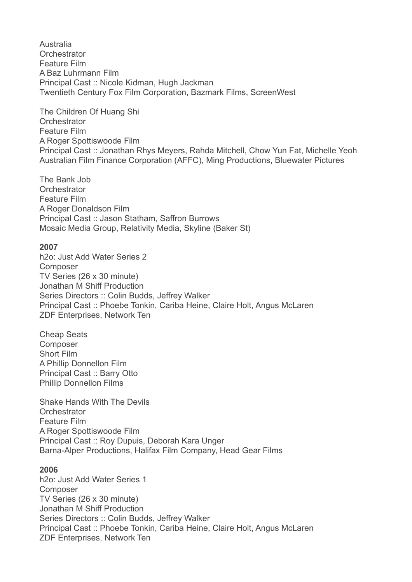Australia **Orchestrator** Feature Film A Baz Luhrmann Film Principal Cast :: Nicole Kidman, Hugh Jackman Twentieth Century Fox Film Corporation, Bazmark Films, ScreenWest

The Children Of Huang Shi **Orchestrator** Feature Film A Roger Spottiswoode Film Principal Cast :: Jonathan Rhys Meyers, Rahda Mitchell, Chow Yun Fat, Michelle Yeoh Australian Film Finance Corporation (AFFC), Ming Productions, Bluewater Pictures

The Bank Job **Orchestrator** Feature Film A Roger Donaldson Film Principal Cast :: Jason Statham, Saffron Burrows Mosaic Media Group, Relativity Media, Skyline (Baker St)

#### **2007**

[h2o: Just Add Water Series 2](http://www.rickyedwards.com/h2o-just-add-water)  [Composer](http://www.rickyedwards.com/h2o-just-add-water) [TV Series \(26 x 30 minute\)](http://www.rickyedwards.com/h2o-just-add-water) [Jonathan M Shiff Production](http://www.rickyedwards.com/h2o-just-add-water) [Series Directors :: Colin Budds, Jeffrey Walker](http://www.rickyedwards.com/h2o-just-add-water) [Principal Cast :: Phoebe Tonkin, Cariba Heine, Claire Holt, Angus McLaren](http://www.rickyedwards.com/h2o-just-add-water)  [ZDF Enterprises, Network Ten](http://www.rickyedwards.com/h2o-just-add-water)

Cheap Seats Composer Short Film A Phillip Donnellon Film Principal Cast :: Barry Otto Phillip Donnellon Films

Shake Hands With The Devils **Orchestrator** Feature Film A Roger Spottiswoode Film Principal Cast :: Roy Dupuis, Deborah Kara Unger Barna-Alper Productions, Halifax Film Company, Head Gear Films

#### **2006**

[h2o: Just Add Water Series 1](http://www.rickyedwards.com/h2o-just-add-water)  [Composer](http://www.rickyedwards.com/h2o-just-add-water) [TV Series \(26 x 30 minute\)](http://www.rickyedwards.com/h2o-just-add-water) [Jonathan M Shiff Production](http://www.rickyedwards.com/h2o-just-add-water) [Series Directors :: Colin Budds, Jeffrey Walker](http://www.rickyedwards.com/h2o-just-add-water) [Principal Cast :: Phoebe Tonkin, Cariba Heine, Claire Holt, Angus McLaren](http://www.rickyedwards.com/h2o-just-add-water)  [ZDF Enterprises, Network Ten](http://www.rickyedwards.com/h2o-just-add-water)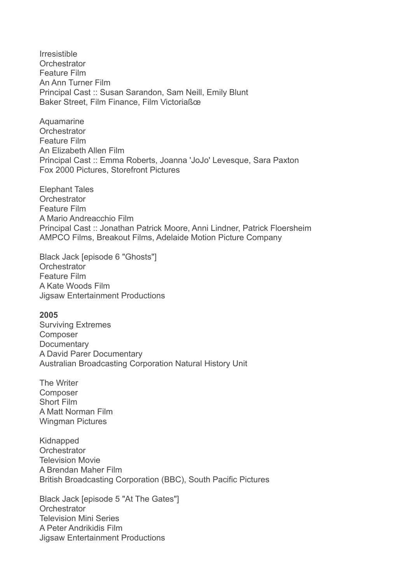Irresistible **Orchestrator** Feature Film An Ann Turner Film Principal Cast :: Susan Sarandon, Sam Neill, Emily Blunt Baker Street, Film Finance, Film Victoriaßœ

Aquamarine **Orchestrator** Feature Film An Elizabeth Allen Film Principal Cast :: Emma Roberts, Joanna 'JoJo' Levesque, Sara Paxton Fox 2000 Pictures, Storefront Pictures

Elephant Tales **Orchestrator** Feature Film A Mario Andreacchio Film Principal Cast :: Jonathan Patrick Moore, Anni Lindner, Patrick Floersheim AMPCO Films, Breakout Films, Adelaide Motion Picture Company

Black Jack [episode 6 "Ghosts"] **Orchestrator** Feature Film A Kate Woods Film Jigsaw Entertainment Productions

#### **2005**

Surviving Extremes Composer **Documentary** A David Parer Documentary Australian Broadcasting Corporation Natural History Unit

The Writer Composer Short Film A Matt Norman Film Wingman Pictures

Kidnapped **Orchestrator** Television Movie A Brendan Maher Film British Broadcasting Corporation (BBC), South Pacific Pictures

Black Jack [episode 5 "At The Gates"] **Orchestrator** Television Mini Series A Peter Andrikidis Film Jigsaw Entertainment Productions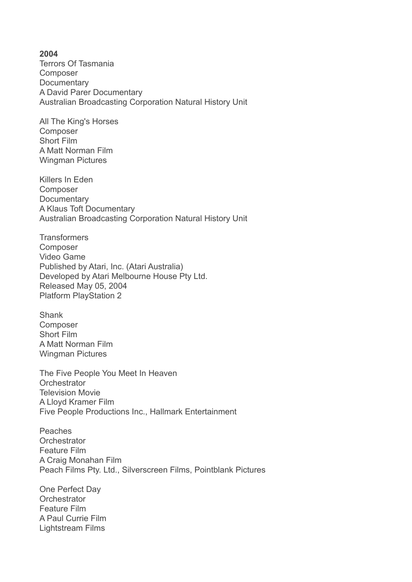#### **2004**

Terrors Of Tasmania Composer **Documentary** A David Parer Documentary Australian Broadcasting Corporation Natural History Unit

All The King's Horses Composer Short Film A Matt Norman Film Wingman Pictures

Killers In Eden Composer **Documentary** A Klaus Toft Documentary Australian Broadcasting Corporation Natural History Unit

**Transformers** [Composer](http://www.rickyedwards.com/transformers) [Video Game](http://www.rickyedwards.com/transformers) [Published by Atari, Inc. \(Atari Australia\)](http://www.rickyedwards.com/transformers) [Developed by Atari Melbourne House Pty Ltd.](http://www.rickyedwards.com/transformers)  [Released May 05, 2004](http://www.rickyedwards.com/transformers) [Platform PlayStation 2](http://www.rickyedwards.com/transformers)

Shank Composer Short Film A Matt Norman Film Wingman Pictures

The Five People You Meet In Heaven **Orchestrator** Television Movie A Lloyd Kramer Film Five People Productions Inc., Hallmark Entertainment

Peaches **Orchestrator** Feature Film A Craig Monahan Film Peach Films Pty. Ltd., Silverscreen Films, Pointblank Pictures

One Perfect Day **Orchestrator** Feature Film A Paul Currie Film Lightstream Films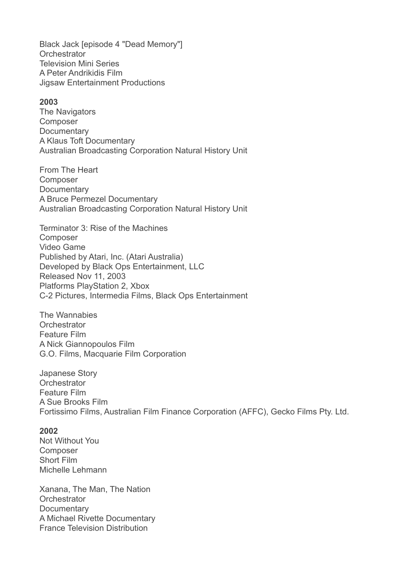Black Jack [episode 4 "Dead Memory"] **Orchestrator** Television Mini Series A Peter Andrikidis Film Jigsaw Entertainment Productions

#### **2003**

The Navigators Composer **Documentary** A Klaus Toft Documentary Australian Broadcasting Corporation Natural History Unit

From The Heart Composer **Documentary** A Bruce Permezel Documentary Australian Broadcasting Corporation Natural History Unit

[Terminator 3: Rise of the Machines](http://www.rickyedwards.com/terminator-3) [Composer](http://www.rickyedwards.com/terminator-3) [Video Game](http://www.rickyedwards.com/terminator-3) [Published by Atari, Inc. \(Atari Australia\)](http://www.rickyedwards.com/terminator-3) [Developed by Black Ops Entertainment, LLC](http://www.rickyedwards.com/terminator-3) [Released Nov 11, 2003](http://www.rickyedwards.com/terminator-3) [Platforms PlayStation 2, Xbox](http://www.rickyedwards.com/terminator-3) [C-2 Pictures, Intermedia Films, Black Ops Entertainment](http://www.rickyedwards.com/terminator-3)

The Wannabies **Orchestrator** Feature Film A Nick Giannopoulos Film G.O. Films, Macquarie Film Corporation

Japanese Story **Orchestrator** Feature Film A Sue Brooks Film Fortissimo Films, Australian Film Finance Corporation (AFFC), Gecko Films Pty. Ltd.

#### **2002**

Not Without You Composer Short Film Michelle Lehmann

Xanana, The Man, The Nation **Orchestrator Documentary** A Michael Rivette Documentary France Television Distribution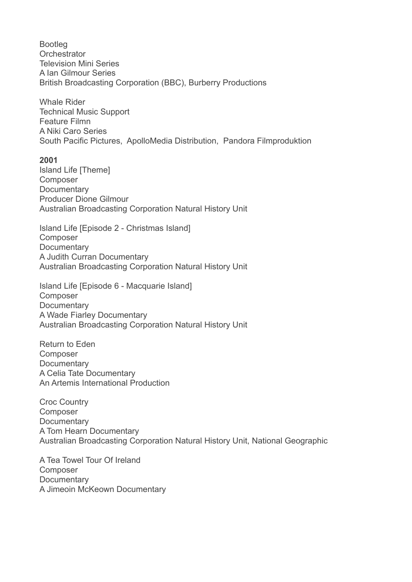Bootleg **Orchestrator** Television Mini Series A Ian Gilmour Series British Broadcasting Corporation (BBC), Burberry Productions Whale Rider Technical Music Support Feature Filmn A Niki Caro Series South Pacific Pictures, ApolloMedia Distribution, Pandora Filmproduktion **2001**  Island Life [Theme] Composer **Documentary** Producer Dione Gilmour Australian Broadcasting Corporation Natural History Unit Island Life [Episode 2 - Christmas Island] Composer **Documentary** A Judith Curran Documentary Australian Broadcasting Corporation Natural History Unit Island Life [Episode 6 - Macquarie Island] Composer **Documentary** A Wade Fiarley Documentary Australian Broadcasting Corporation Natural History Unit Return to Eden Composer **Documentary** A Celia Tate Documentary An Artemis International Production Croc Country Composer **Documentary** A Tom Hearn Documentary Australian Broadcasting Corporation Natural History Unit, National Geographic A Tea Towel Tour Of Ireland

Composer **Documentary** A Jimeoin McKeown Documentary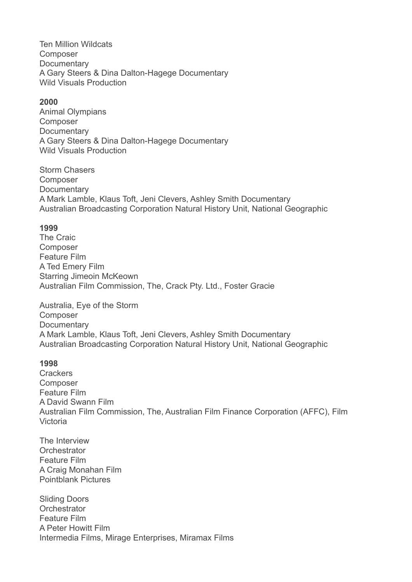Ten Million Wildcats Composer **Documentary** A Gary Steers & Dina Dalton-Hagege Documentary Wild Visuals Production

#### **2000**

Animal Olympians Composer **Documentary** A Gary Steers & Dina Dalton-Hagege Documentary Wild Visuals Production

Storm Chasers Composer **Documentary** A Mark Lamble, Klaus Toft, Jeni Clevers, Ashley Smith Documentary Australian Broadcasting Corporation Natural History Unit, National Geographic

#### **1999**

The Craic Composer Feature Film A Ted Emery Film Starring Jimeoin McKeown Australian Film Commission, The, Crack Pty. Ltd., Foster Gracie

Australia, Eye of the Storm Composer **Documentary** A Mark Lamble, Klaus Toft, Jeni Clevers, Ashley Smith Documentary Australian Broadcasting Corporation Natural History Unit, National Geographic

#### **1998**

**Crackers** Composer Feature Film A David Swann Film Australian Film Commission, The, Australian Film Finance Corporation (AFFC), Film Victoria

The Interview **Orchestrator** Feature Film A Craig Monahan Film Pointblank Pictures

Sliding Doors **Orchestrator** Feature Film A Peter Howitt Film Intermedia Films, Mirage Enterprises, Miramax Films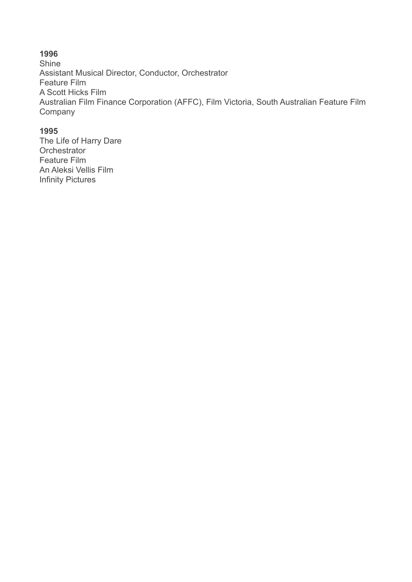# **1996**

Shine Assistant Musical Director, Conductor, Orchestrator Feature Film A Scott Hicks Film Australian Film Finance Corporation (AFFC), Film Victoria, South Australian Feature Film Company

#### **1995**

The Life of Harry Dare **Orchestrator** Feature Film An Aleksi Vellis Film Infinity Pictures